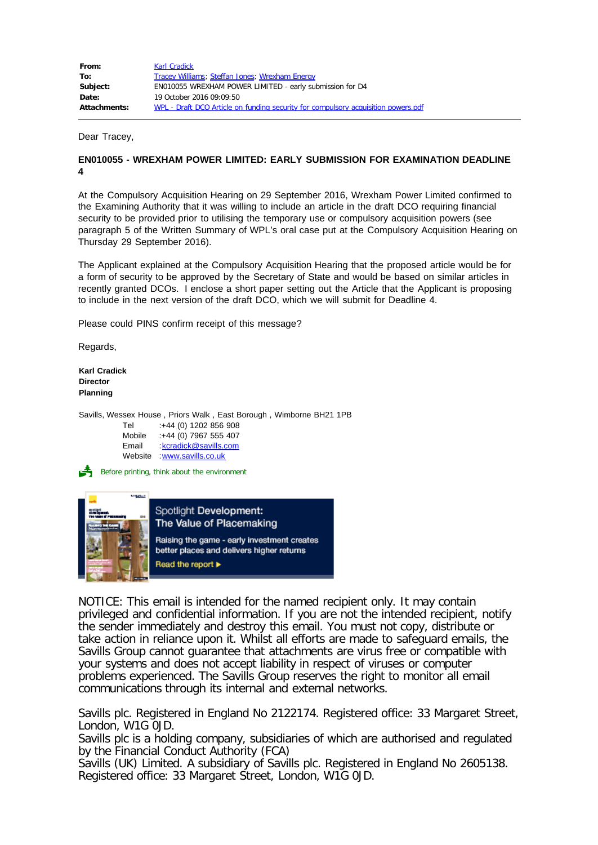| From:               | <b>Karl Cradick</b>                                                               |
|---------------------|-----------------------------------------------------------------------------------|
| To:                 | <b>Tracey Williams</b> ; Steffan Jones; Wrexham Energy                            |
| Subject:            | EN010055 WREXHAM POWER LIMITED - early submission for D4                          |
| Date:               | 19 October 2016 09:09:50                                                          |
| <b>Attachments:</b> | WPL - Draft DCO Article on funding security for compulsory acquisition powers.pdf |

Dear Tracey,

## **EN010055 - WREXHAM POWER LIMITED: EARLY SUBMISSION FOR EXAMINATION DEADLINE 4**

At the Compulsory Acquisition Hearing on 29 September 2016, Wrexham Power Limited confirmed to the Examining Authority that it was willing to include an article in the draft DCO requiring financial security to be provided prior to utilising the temporary use or compulsory acquisition powers (see paragraph 5 of the Written Summary of WPL's oral case put at the Compulsory Acquisition Hearing on Thursday 29 September 2016).

The Applicant explained at the Compulsory Acquisition Hearing that the proposed article would be for a form of security to be approved by the Secretary of State and would be based on similar articles in recently granted DCOs. I enclose a short paper setting out the Article that the Applicant is proposing to include in the next version of the draft DCO, which we will submit for Deadline 4.

Please could PINS confirm receipt of this message?

Regards,

**Karl Cradick Director Planning**

Savills, Wessex House , Priors Walk , East Borough , Wimborne BH21 1PB

| :+44 (0) 1202 856 908  |
|------------------------|
| :+44 (0) 7967 555 407  |
| : kcradick@savills.com |
| www.savills.co.uk      |
|                        |

Before printing, think about the environment



NOTICE: This email is intended for the named recipient only. It may contain privileged and confidential information. If you are not the intended recipient, notify the sender immediately and destroy this email. You must not copy, distribute or take action in reliance upon it. Whilst all efforts are made to safeguard emails, the Savills Group cannot guarantee that attachments are virus free or compatible with your systems and does not accept liability in respect of viruses or computer problems experienced. The Savills Group reserves the right to monitor all email communications through its internal and external networks.

Savills plc. Registered in England No 2122174. Registered office: 33 Margaret Street, London, W1G OJD.

Savills plc is a holding company, subsidiaries of which are authorised and regulated by the Financial Conduct Authority (FCA)

Savills (UK) Limited. A subsidiary of Savills plc. Registered in England No 2605138. Registered office: 33 Margaret Street, London, W1G 0JD.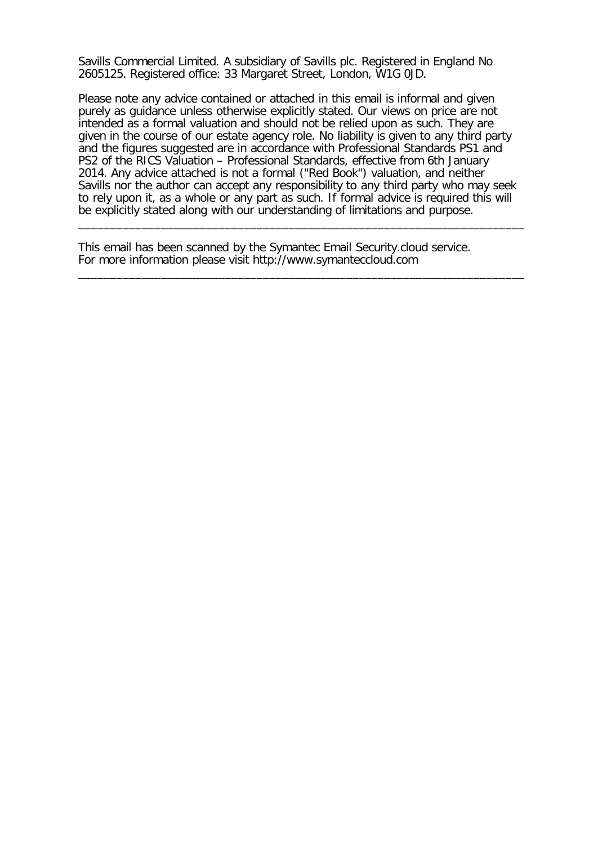Savills Commercial Limited. A subsidiary of Savills plc. Registered in England No 2605125. Registered office: 33 Margaret Street, London, W1G 0JD.

Please note any advice contained or attached in this email is informal and given purely as guidance unless otherwise explicitly stated. Our views on price are not intended as a formal valuation and should not be relied upon as such. They are given in the course of our estate agency role. No liability is given to any third party and the figures suggested are in accordance with Professional Standards PS1 and PS2 of the RICS Valuation – Professional Standards, effective from 6th January 2014. Any advice attached is not a formal ("Red Book") valuation, and neither Savills nor the author can accept any responsibility to any third party who may seek to rely upon it, as a whole or any part as such. If formal advice is required this will be explicitly stated along with our understanding of limitations and purpose.

\_\_\_\_\_\_\_\_\_\_\_\_\_\_\_\_\_\_\_\_\_\_\_\_\_\_\_\_\_\_\_\_\_\_\_\_\_\_\_\_\_\_\_\_\_\_\_\_\_\_\_\_\_\_\_\_\_\_\_\_\_\_\_\_\_\_\_\_\_\_

\_\_\_\_\_\_\_\_\_\_\_\_\_\_\_\_\_\_\_\_\_\_\_\_\_\_\_\_\_\_\_\_\_\_\_\_\_\_\_\_\_\_\_\_\_\_\_\_\_\_\_\_\_\_\_\_\_\_\_\_\_\_\_\_\_\_\_\_\_\_

This email has been scanned by the Symantec Email Security.cloud service. For more information please visit http://www.symanteccloud.com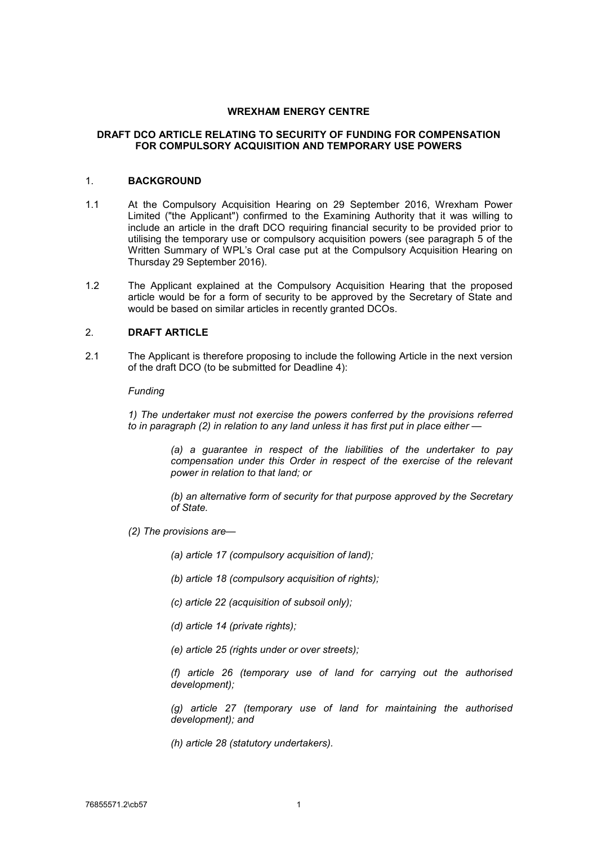#### **WREXHAM ENERGY CENTRE**

## **DRAFT DCO ARTICLE RELATING TO SECURITY OF FUNDING FOR COMPENSATION FOR COMPULSORY ACQUISITION AND TEMPORARY USE POWERS**

#### 1. **BACKGROUND**

- 1.1 At the Compulsory Acquisition Hearing on 29 September 2016, Wrexham Power Limited ("the Applicant") confirmed to the Examining Authority that it was willing to include an article in the draft DCO requiring financial security to be provided prior to utilising the temporary use or compulsory acquisition powers (see paragraph 5 of the Written Summary of WPL's Oral case put at the Compulsory Acquisition Hearing on Thursday 29 September 2016).
- 1.2 The Applicant explained at the Compulsory Acquisition Hearing that the proposed article would be for a form of security to be approved by the Secretary of State and would be based on similar articles in recently granted DCOs.

# 2. **DRAFT ARTICLE**

2.1 The Applicant is therefore proposing to include the following Article in the next version of the draft DCO (to be submitted for Deadline 4):

*Funding* 

*1) The undertaker must not exercise the powers conferred by the provisions referred to in paragraph (2) in relation to any land unless it has first put in place either —* 

> *(a) a guarantee in respect of the liabilities of the undertaker to pay compensation under this Order in respect of the exercise of the relevant power in relation to that land; or*

> *(b) an alternative form of security for that purpose approved by the Secretary of State.*

*(2) The provisions are—* 

*(a) article 17 (compulsory acquisition of land);* 

*(b) article 18 (compulsory acquisition of rights);* 

- *(c) article 22 (acquisition of subsoil only);*
- *(d) article 14 (private rights);*
- *(e) article 25 (rights under or over streets);*

*(f) article 26 (temporary use of land for carrying out the authorised development);* 

*(g) article 27 (temporary use of land for maintaining the authorised development); and* 

*(h) article 28 (statutory undertakers).*